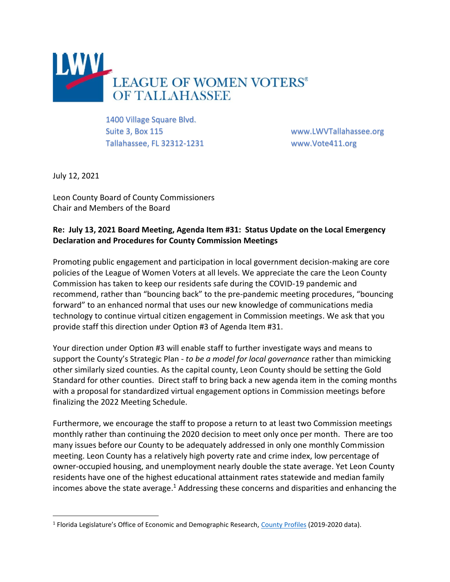

1400 Village Square Blvd. Suite 3, Box 115 www.LWVTallahassee.org Tallahassee, FL 32312-1231 www.Vote411.org

July 12, 2021

Leon County Board of County Commissioners Chair and Members of the Board

## **Re: July 13, 2021 Board Meeting, Agenda Item #31: Status Update on the Local Emergency Declaration and Procedures for County Commission Meetings**

Promoting public engagement and participation in local government decision-making are core policies of the League of Women Voters at all levels. We appreciate the care the Leon County Commission has taken to keep our residents safe during the COVID-19 pandemic and recommend, rather than "bouncing back" to the pre-pandemic meeting procedures, "bouncing forward" to an enhanced normal that uses our new knowledge of communications media technology to continue virtual citizen engagement in Commission meetings. We ask that you provide staff this direction under Option #3 of Agenda Item #31.

Your direction under Option #3 will enable staff to further investigate ways and means to support the County's Strategic Plan - *to be a model for local governance* rather than mimicking other similarly sized counties. As the capital county, Leon County should be setting the Gold Standard for other counties. Direct staff to bring back a new agenda item in the coming months with a proposal for standardized virtual engagement options in Commission meetings before finalizing the 2022 Meeting Schedule.

Furthermore, we encourage the staff to propose a return to at least two Commission meetings monthly rather than continuing the 2020 decision to meet only once per month. There are too many issues before our County to be adequately addressed in only one monthly Commission meeting. Leon County has a relatively high poverty rate and crime index, low percentage of owner-occupied housing, and unemployment nearly double the state average. Yet Leon County residents have one of the highest educational attainment rates statewide and median family incomes above the state average.<sup>1</sup> Addressing these concerns and disparities and enhancing the

<sup>&</sup>lt;sup>1</sup> Florida Legislature's Office of Economic and Demographic Research, [County Profiles](http://edr.state.fl.us/Content/area-profiles/county/index.cfm) (2019-2020 data).